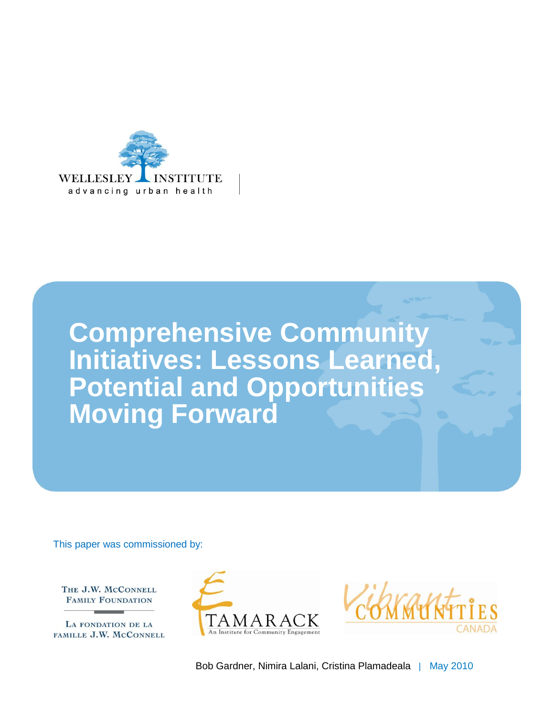

**Comprehensive Community Initiatives: Lessons Learned, Potential and Opportunities Moving Forward**

This paper was commissioned by:

THE J.W. MCCONNELL **FAMILY FOUNDATION** 

LA FONDATION DE LA FAMILLE J.W. MCCONNELL





Bob Gardner, Nimira Lalani, Cristina Plamadeala | May 2010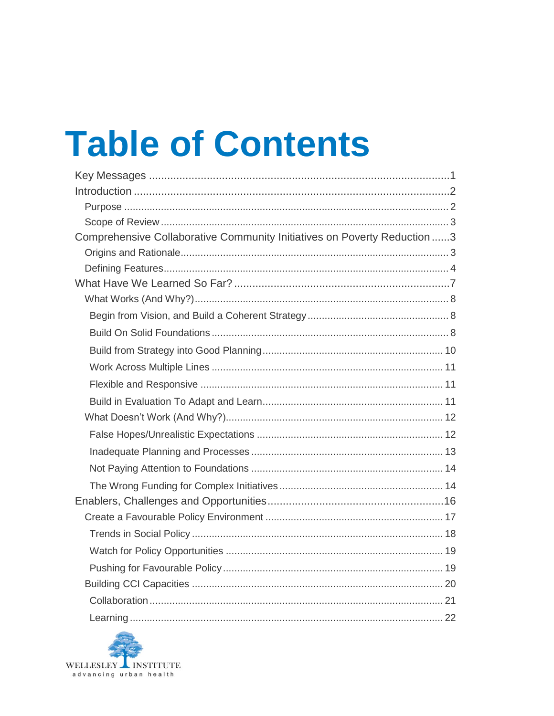# **Table of Contents**

| Comprehensive Collaborative Community Initiatives on Poverty Reduction 3 |  |
|--------------------------------------------------------------------------|--|
|                                                                          |  |
|                                                                          |  |
|                                                                          |  |
|                                                                          |  |
|                                                                          |  |
|                                                                          |  |
|                                                                          |  |
|                                                                          |  |
|                                                                          |  |
|                                                                          |  |
|                                                                          |  |
|                                                                          |  |
|                                                                          |  |
|                                                                          |  |
|                                                                          |  |
|                                                                          |  |
|                                                                          |  |
|                                                                          |  |
|                                                                          |  |
|                                                                          |  |
|                                                                          |  |
|                                                                          |  |
|                                                                          |  |

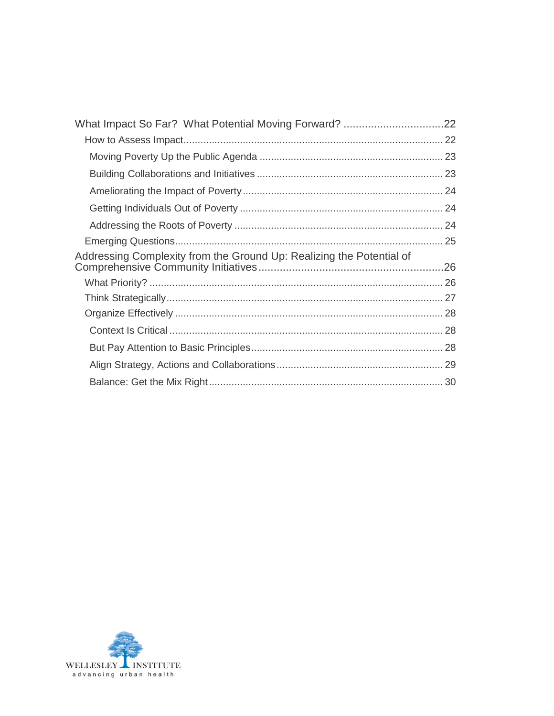| Addressing Complexity from the Ground Up: Realizing the Potential of |  |
|----------------------------------------------------------------------|--|
|                                                                      |  |
|                                                                      |  |
|                                                                      |  |
|                                                                      |  |
|                                                                      |  |
|                                                                      |  |

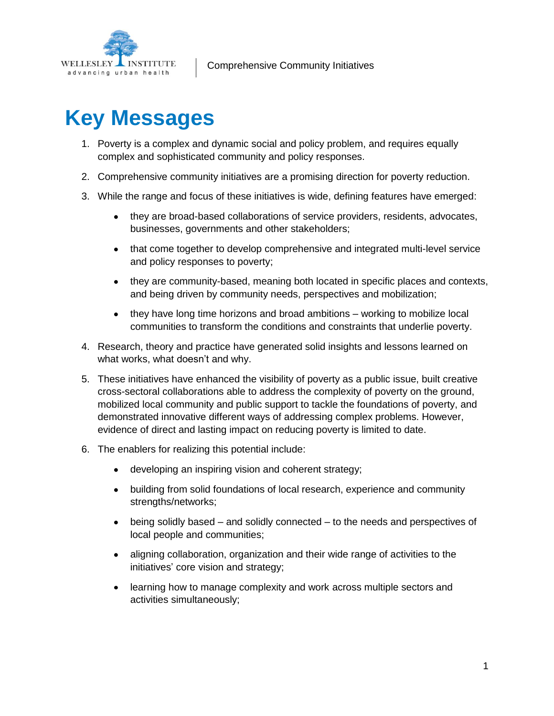

## <span id="page-3-0"></span>**Key Messages**

- 1. Poverty is a complex and dynamic social and policy problem, and requires equally complex and sophisticated community and policy responses.
- 2. Comprehensive community initiatives are a promising direction for poverty reduction.
- 3. While the range and focus of these initiatives is wide, defining features have emerged:
	- they are broad-based collaborations of service providers, residents, advocates,  $\bullet$ businesses, governments and other stakeholders;
	- that come together to develop comprehensive and integrated multi-level service  $\bullet$ and policy responses to poverty;
	- they are community-based, meaning both located in specific places and contexts, and being driven by community needs, perspectives and mobilization;
	- they have long time horizons and broad ambitions working to mobilize local communities to transform the conditions and constraints that underlie poverty.
- 4. Research, theory and practice have generated solid insights and lessons learned on what works, what doesn't and why.
- 5. These initiatives have enhanced the visibility of poverty as a public issue, built creative cross-sectoral collaborations able to address the complexity of poverty on the ground, mobilized local community and public support to tackle the foundations of poverty, and demonstrated innovative different ways of addressing complex problems. However, evidence of direct and lasting impact on reducing poverty is limited to date.
- 6. The enablers for realizing this potential include:
	- $\bullet$ developing an inspiring vision and coherent strategy;
	- building from solid foundations of local research, experience and community  $\bullet$ strengths/networks;
	- being solidly based and solidly connected to the needs and perspectives of  $\bullet$ local people and communities;
	- aligning collaboration, organization and their wide range of activities to the  $\bullet$ initiatives' core vision and strategy;
	- $\bullet$ learning how to manage complexity and work across multiple sectors and activities simultaneously;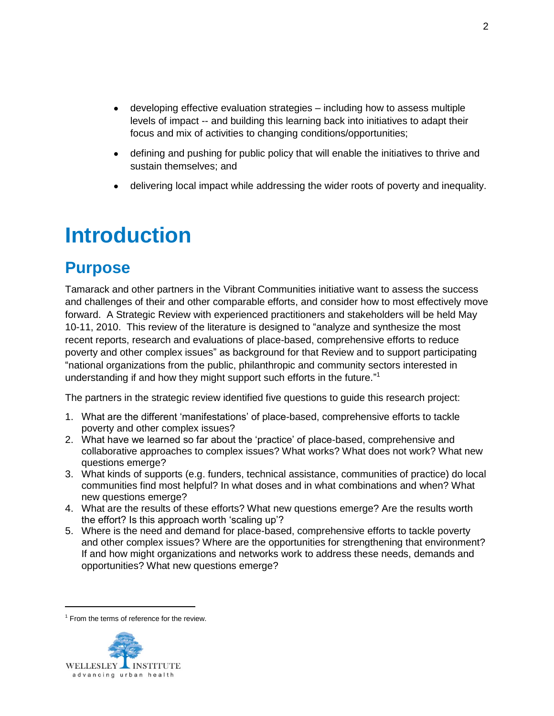- $\bullet$ developing effective evaluation strategies – including how to assess multiple levels of impact -- and building this learning back into initiatives to adapt their focus and mix of activities to changing conditions/opportunities;
- defining and pushing for public policy that will enable the initiatives to thrive and  $\bullet$ sustain themselves; and
- delivering local impact while addressing the wider roots of poverty and inequality.

## <span id="page-4-0"></span>**Introduction**

### <span id="page-4-1"></span>**Purpose**

Tamarack and other partners in the Vibrant Communities initiative want to assess the success and challenges of their and other comparable efforts, and consider how to most effectively move forward. A Strategic Review with experienced practitioners and stakeholders will be held May 10-11, 2010. This review of the literature is designed to "analyze and synthesize the most recent reports, research and evaluations of place-based, comprehensive efforts to reduce poverty and other complex issues" as background for that Review and to support participating "national organizations from the public, philanthropic and community sectors interested in understanding if and how they might support such efforts in the future."<sup>1</sup>

The partners in the strategic review identified five questions to guide this research project:

- 1. What are the different "manifestations" of place-based, comprehensive efforts to tackle poverty and other complex issues?
- 2. What have we learned so far about the "practice" of place-based, comprehensive and collaborative approaches to complex issues? What works? What does not work? What new questions emerge?
- 3. What kinds of supports (e.g. funders, technical assistance, communities of practice) do local communities find most helpful? In what doses and in what combinations and when? What new questions emerge?
- 4. What are the results of these efforts? What new questions emerge? Are the results worth the effort? Is this approach worth "scaling up"?
- 5. Where is the need and demand for place-based, comprehensive efforts to tackle poverty and other complex issues? Where are the opportunities for strengthening that environment? If and how might organizations and networks work to address these needs, demands and opportunities? What new questions emerge?

 $1$  From the terms of reference for the review.

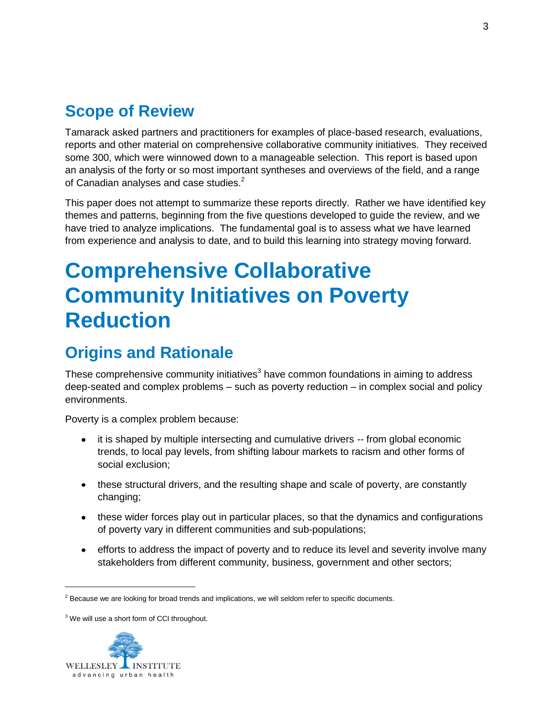### <span id="page-5-0"></span>**Scope of Review**

Tamarack asked partners and practitioners for examples of place-based research, evaluations, reports and other material on comprehensive collaborative community initiatives. They received some 300, which were winnowed down to a manageable selection. This report is based upon an analysis of the forty or so most important syntheses and overviews of the field, and a range of Canadian analyses and case studies.<sup>2</sup>

This paper does not attempt to summarize these reports directly. Rather we have identified key themes and patterns, beginning from the five questions developed to guide the review, and we have tried to analyze implications. The fundamental goal is to assess what we have learned from experience and analysis to date, and to build this learning into strategy moving forward.

## <span id="page-5-1"></span>**Comprehensive Collaborative Community Initiatives on Poverty Reduction**

## <span id="page-5-2"></span>**Origins and Rationale**

These comprehensive community initiatives $3$  have common foundations in aiming to address deep-seated and complex problems – such as poverty reduction – in complex social and policy environments.

Poverty is a complex problem because:

- it is shaped by multiple intersecting and cumulative drivers -- from global economic  $\bullet$ trends, to local pay levels, from shifting labour markets to racism and other forms of social exclusion;
- these structural drivers, and the resulting shape and scale of poverty, are constantly changing;
- these wider forces play out in particular places, so that the dynamics and configurations of poverty vary in different communities and sub-populations;
- efforts to address the impact of poverty and to reduce its level and severity involve many stakeholders from different community, business, government and other sectors;

<sup>&</sup>lt;sup>3</sup> We will use a short form of CCI throughout.



 $\overline{a}$ 

 $<sup>2</sup>$  Because we are looking for broad trends and implications, we will seldom refer to specific documents.</sup>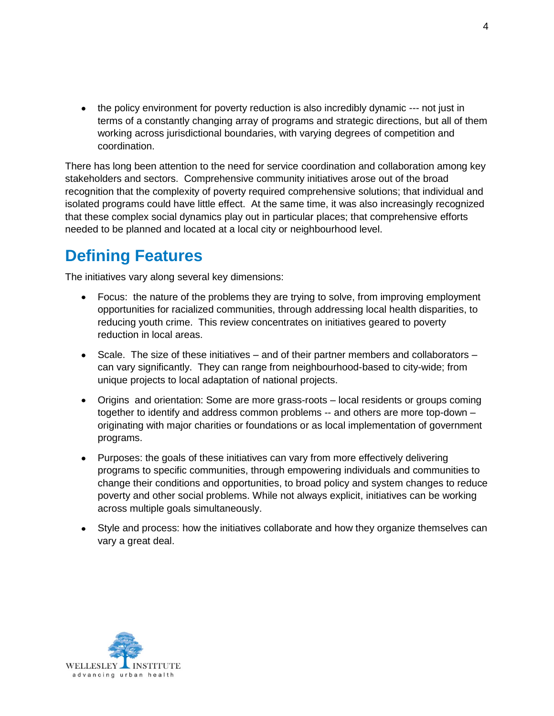• the policy environment for poverty reduction is also incredibly dynamic --- not just in terms of a constantly changing array of programs and strategic directions, but all of them working across jurisdictional boundaries, with varying degrees of competition and coordination.

There has long been attention to the need for service coordination and collaboration among key stakeholders and sectors. Comprehensive community initiatives arose out of the broad recognition that the complexity of poverty required comprehensive solutions; that individual and isolated programs could have little effect. At the same time, it was also increasingly recognized that these complex social dynamics play out in particular places; that comprehensive efforts needed to be planned and located at a local city or neighbourhood level.

### <span id="page-6-0"></span>**Defining Features**

The initiatives vary along several key dimensions:

- Focus: the nature of the problems they are trying to solve, from improving employment opportunities for racialized communities, through addressing local health disparities, to reducing youth crime. This review concentrates on initiatives geared to poverty reduction in local areas.
- $\bullet$  Scale. The size of these initiatives and of their partner members and collaborators can vary significantly. They can range from neighbourhood-based to city-wide; from unique projects to local adaptation of national projects.
- Origins and orientation: Some are more grass-roots local residents or groups coming together to identify and address common problems -- and others are more top-down – originating with major charities or foundations or as local implementation of government programs.
- Purposes: the goals of these initiatives can vary from more effectively delivering programs to specific communities, through empowering individuals and communities to change their conditions and opportunities, to broad policy and system changes to reduce poverty and other social problems. While not always explicit, initiatives can be working across multiple goals simultaneously.
- Style and process: how the initiatives collaborate and how they organize themselves can vary a great deal.

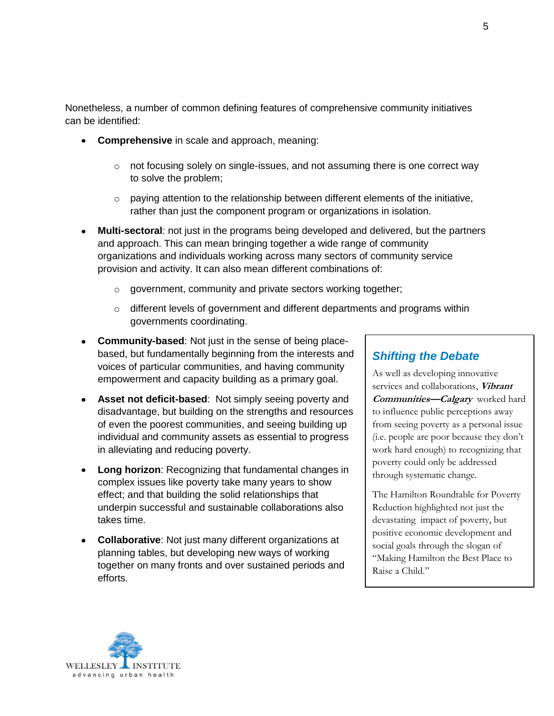Nonetheless, a number of common defining features of comprehensive community initiatives can be identified:

- **Comprehensive** in scale and approach, meaning:
	- $\circ$  not focusing solely on single-issues, and not assuming there is one correct way to solve the problem;
	- $\circ$  paying attention to the relationship between different elements of the initiative, rather than just the component program or organizations in isolation.
- **Multi-sectoral**: not just in the programs being developed and delivered, but the partners and approach. This can mean bringing together a wide range of community organizations and individuals working across many sectors of community service provision and activity. It can also mean different combinations of:
	- o government, community and private sectors working together;
	- o different levels of government and different departments and programs within governments coordinating.
- **Community-based**: Not just in the sense of being placebased, but fundamentally beginning from the interests and voices of particular communities, and having community empowerment and capacity building as a primary goal.
- **Asset not deficit-based**: Not simply seeing poverty and disadvantage, but building on the strengths and resources of even the poorest communities, and seeing building up individual and community assets as essential to progress in alleviating and reducing poverty.
- **Long horizon**: Recognizing that fundamental changes in complex issues like poverty take many years to show effect; and that building the solid relationships that underpin successful and sustainable collaborations also takes time.
- **Collaborative**: Not just many different organizations at planning tables, but developing new ways of working together on many fronts and over sustained periods and efforts.

#### *Shifting the Debate*

As well as developing innovative services and collaborations, **Vibrant Communities—Calgary** worked hard to influence public perceptions away from seeing poverty as a personal issue (i.e. people are poor because they don't work hard enough) to recognizing that poverty could only be addressed through systematic change.

The Hamilton Roundtable for Poverty Reduction highlighted not just the devastating impact of poverty, but positive economic development and social goals through the slogan of "Making Hamilton the Best Place to Raise a Child."

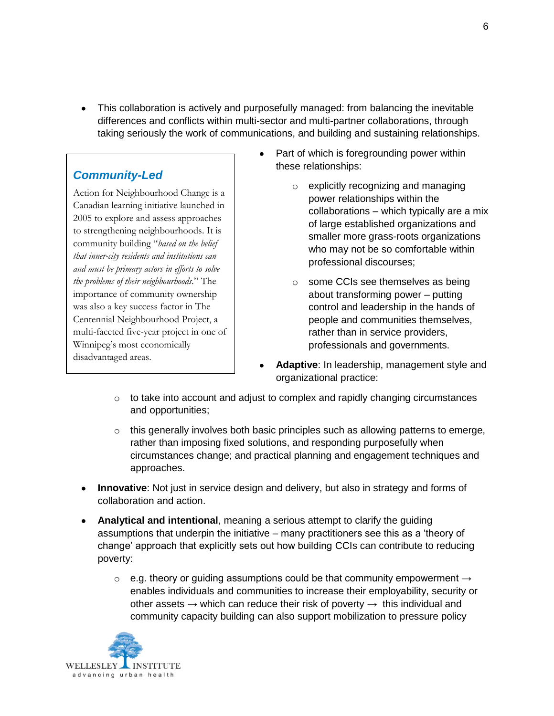This collaboration is actively and purposefully managed: from balancing the inevitable differences and conflicts within multi-sector and multi-partner collaborations, through taking seriously the work of communications, and building and sustaining relationships.

#### *Community-Led*

Action for Neighbourhood Change is a Canadian learning initiative launched in 2005 to explore and assess approaches to strengthening neighbourhoods. It is community building "*based on the belief that inner-city residents and institutions can and must be primary actors in efforts to solve the problems of their neighbourhoods.*" The importance of community ownership was also a key success factor in The Centennial Neighbourhood Project, a multi-faceted five-year project in one of Winnipeg's most economically disadvantaged areas.

- Part of which is foregrounding power within these relationships:
	- o explicitly recognizing and managing power relationships within the collaborations – which typically are a mix of large established organizations and smaller more grass-roots organizations who may not be so comfortable within professional discourses;
	- o some CCIs see themselves as being about transforming power – putting control and leadership in the hands of people and communities themselves, rather than in service providers, professionals and governments.
- **Adaptive**: In leadership, management style and organizational practice:
- o to take into account and adjust to complex and rapidly changing circumstances and opportunities;
- $\circ$  this generally involves both basic principles such as allowing patterns to emerge, rather than imposing fixed solutions, and responding purposefully when circumstances change; and practical planning and engagement techniques and approaches.
- **Innovative**: Not just in service design and delivery, but also in strategy and forms of collaboration and action.
- **Analytical and intentional**, meaning a serious attempt to clarify the guiding assumptions that underpin the initiative – many practitioners see this as a "theory of change" approach that explicitly sets out how building CCIs can contribute to reducing poverty:
	- $\circ$  e.g. theory or guiding assumptions could be that community empowerment  $\rightarrow$ enables individuals and communities to increase their employability, security or other assets  $\rightarrow$  which can reduce their risk of poverty  $\rightarrow$  this individual and community capacity building can also support mobilization to pressure policy

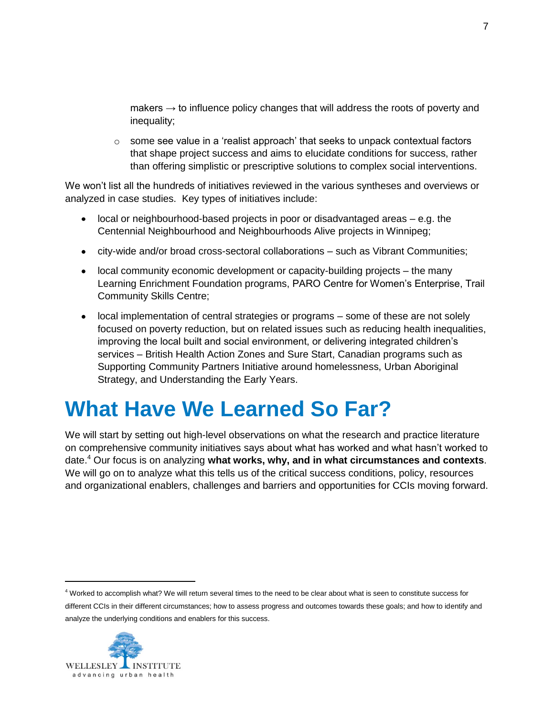makers  $\rightarrow$  to influence policy changes that will address the roots of poverty and inequality;

 $\circ$  some see value in a 'realist approach' that seeks to unpack contextual factors that shape project success and aims to elucidate conditions for success, rather than offering simplistic or prescriptive solutions to complex social interventions.

We won"t list all the hundreds of initiatives reviewed in the various syntheses and overviews or analyzed in case studies. Key types of initiatives include:

- local or neighbourhood-based projects in poor or disadvantaged areas e.g. the Centennial Neighbourhood and Neighbourhoods Alive projects in Winnipeg;
- city-wide and/or broad cross-sectoral collaborations such as Vibrant Communities;
- local community economic development or capacity-building projects the many Learning Enrichment Foundation programs, PARO Centre for Women"s Enterprise, Trail Community Skills Centre;
- local implementation of central strategies or programs some of these are not solely focused on poverty reduction, but on related issues such as reducing health inequalities, improving the local built and social environment, or delivering integrated children"s services – British Health Action Zones and Sure Start, Canadian programs such as Supporting Community Partners Initiative around homelessness, Urban Aboriginal Strategy, and Understanding the Early Years.

## <span id="page-9-0"></span>**What Have We Learned So Far?**

<span id="page-9-1"></span>We will start by setting out high-level observations on what the research and practice literature on comprehensive community initiatives says about what has worked and what hasn"t worked to date.<sup>4</sup> Our focus is on analyzing **what works, why, and in what circumstances and contexts**. We will go on to analyze what this tells us of the critical success conditions, policy, resources and organizational enablers, challenges and barriers and opportunities for CCIs moving forward.

<sup>4</sup> Worked to accomplish what? We will return several times to the need to be clear about what is seen to constitute success for different CCIs in their different circumstances; how to assess progress and outcomes towards these goals; and how to identify and analyze the underlying conditions and enablers for this success.



 $\overline{a}$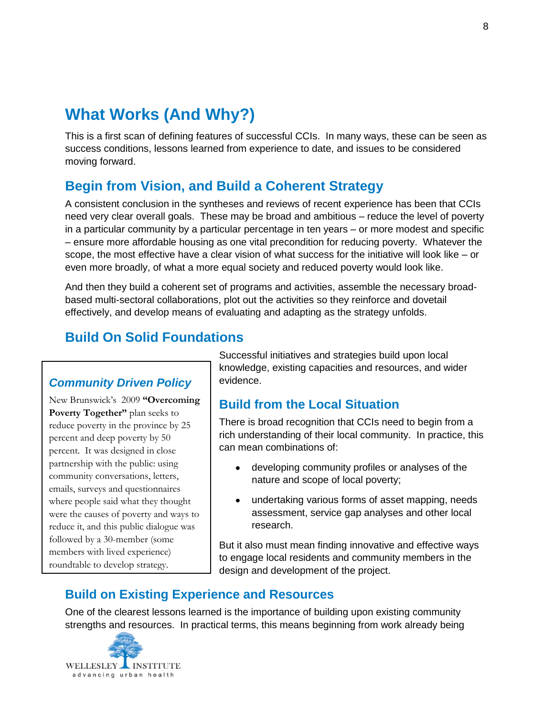## **What Works (And Why?)**

This is a first scan of defining features of successful CCIs. In many ways, these can be seen as success conditions, lessons learned from experience to date, and issues to be considered moving forward.

#### <span id="page-10-0"></span>**Begin from Vision, and Build a Coherent Strategy**

A consistent conclusion in the syntheses and reviews of recent experience has been that CCIs need very clear overall goals. These may be broad and ambitious – reduce the level of poverty in a particular community by a particular percentage in ten years – or more modest and specific – ensure more affordable housing as one vital precondition for reducing poverty. Whatever the scope, the most effective have a clear vision of what success for the initiative will look like – or even more broadly, of what a more equal society and reduced poverty would look like.

And then they build a coherent set of programs and activities, assemble the necessary broadbased multi-sectoral collaborations, plot out the activities so they reinforce and dovetail effectively, and develop means of evaluating and adapting as the strategy unfolds.

#### <span id="page-10-1"></span>**Build On Solid Foundations**

#### *Community Driven Policy*

New Brunswick's 2009 **"Overcoming Poverty Together"** plan seeks to reduce poverty in the province by 25 percent and deep poverty by 50 percent. It was designed in close partnership with the public: using community conversations, letters, emails, surveys and questionnaires where people said what they thought were the causes of poverty and ways to reduce it, and this public dialogue was followed by a 30-member (some members with lived experience) roundtable to develop strategy.

Successful initiatives and strategies build upon local knowledge, existing capacities and resources, and wider evidence.

#### **Build from the Local Situation**

There is broad recognition that CCIs need to begin from a rich understanding of their local community. In practice, this can mean combinations of:

- developing community profiles or analyses of the nature and scope of local poverty;
- undertaking various forms of asset mapping, needs assessment, service gap analyses and other local research.

But it also must mean finding innovative and effective ways to engage local residents and community members in the design and development of the project.

#### **Build on Existing Experience and Resources**

One of the clearest lessons learned is the importance of building upon existing community strengths and resources. In practical terms, this means beginning from work already being

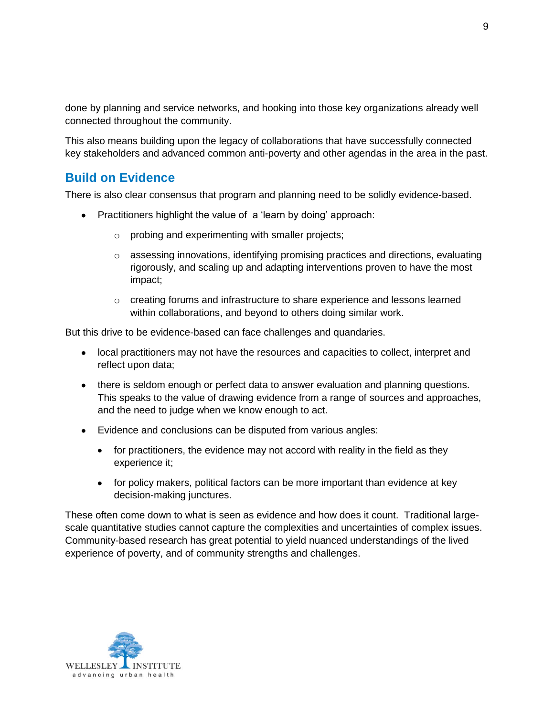done by planning and service networks, and hooking into those key organizations already well connected throughout the community.

This also means building upon the legacy of collaborations that have successfully connected key stakeholders and advanced common anti-poverty and other agendas in the area in the past.

#### **Build on Evidence**

There is also clear consensus that program and planning need to be solidly evidence-based.

- Practitioners highlight the value of a 'learn by doing' approach:
	- o probing and experimenting with smaller projects;
	- $\circ$  assessing innovations, identifying promising practices and directions, evaluating rigorously, and scaling up and adapting interventions proven to have the most impact;
	- $\circ$  creating forums and infrastructure to share experience and lessons learned within collaborations, and beyond to others doing similar work.

But this drive to be evidence-based can face challenges and quandaries.

- local practitioners may not have the resources and capacities to collect, interpret and reflect upon data;
- there is seldom enough or perfect data to answer evaluation and planning questions. This speaks to the value of drawing evidence from a range of sources and approaches, and the need to judge when we know enough to act.
- Evidence and conclusions can be disputed from various angles:
	- for practitioners, the evidence may not accord with reality in the field as they experience it;
	- for policy makers, political factors can be more important than evidence at key decision-making junctures.

<span id="page-11-0"></span>These often come down to what is seen as evidence and how does it count. Traditional largescale quantitative studies cannot capture the complexities and uncertainties of complex issues. Community-based research has great potential to yield nuanced understandings of the lived experience of poverty, and of community strengths and challenges.

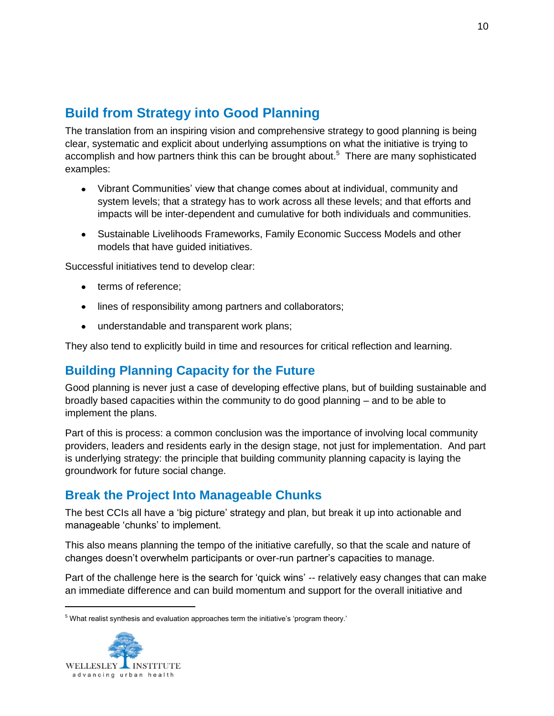#### **Build from Strategy into Good Planning**

The translation from an inspiring vision and comprehensive strategy to good planning is being clear, systematic and explicit about underlying assumptions on what the initiative is trying to accomplish and how partners think this can be brought about.<sup>5</sup> There are many sophisticated examples:

- Vibrant Communities' view that change comes about at individual, community and system levels; that a strategy has to work across all these levels; and that efforts and impacts will be inter-dependent and cumulative for both individuals and communities.
- Sustainable Livelihoods Frameworks, Family Economic Success Models and other models that have guided initiatives.

Successful initiatives tend to develop clear:

- terms of reference;
- lines of responsibility among partners and collaborators;
- understandable and transparent work plans;

They also tend to explicitly build in time and resources for critical reflection and learning.

#### **Building Planning Capacity for the Future**

Good planning is never just a case of developing effective plans, but of building sustainable and broadly based capacities within the community to do good planning – and to be able to implement the plans.

Part of this is process: a common conclusion was the importance of involving local community providers, leaders and residents early in the design stage, not just for implementation. And part is underlying strategy: the principle that building community planning capacity is laying the groundwork for future social change.

#### **Break the Project Into Manageable Chunks**

The best CCIs all have a "big picture" strategy and plan, but break it up into actionable and manageable 'chunks' to implement.

This also means planning the tempo of the initiative carefully, so that the scale and nature of changes doesn"t overwhelm participants or over-run partner"s capacities to manage.

Part of the challenge here is the search for "quick wins" -- relatively easy changes that can make an immediate difference and can build momentum and support for the overall initiative and

 $5$  What realist synthesis and evaluation approaches term the initiative's 'program theory.'

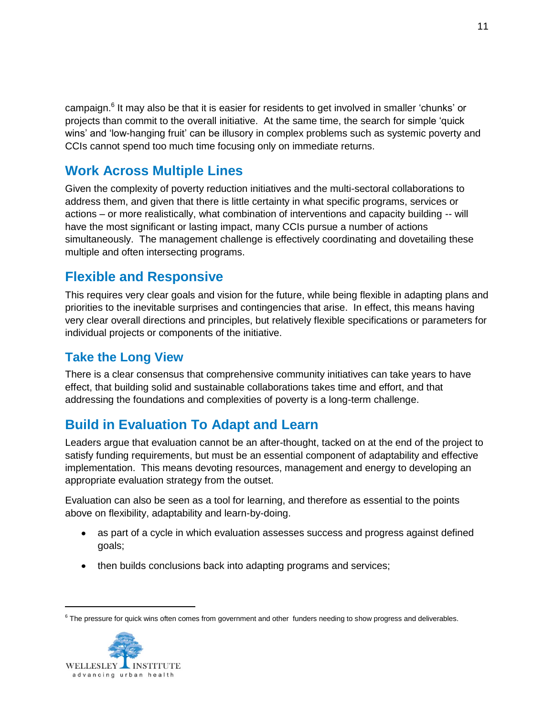campaign.<sup>6</sup> It may also be that it is easier for residents to get involved in smaller 'chunks' or projects than commit to the overall initiative. At the same time, the search for simple "quick wins" and "low-hanging fruit" can be illusory in complex problems such as systemic poverty and CCIs cannot spend too much time focusing only on immediate returns.

#### <span id="page-13-0"></span>**Work Across Multiple Lines**

Given the complexity of poverty reduction initiatives and the multi-sectoral collaborations to address them, and given that there is little certainty in what specific programs, services or actions – or more realistically, what combination of interventions and capacity building -- will have the most significant or lasting impact, many CCIs pursue a number of actions simultaneously. The management challenge is effectively coordinating and dovetailing these multiple and often intersecting programs.

#### <span id="page-13-1"></span>**Flexible and Responsive**

This requires very clear goals and vision for the future, while being flexible in adapting plans and priorities to the inevitable surprises and contingencies that arise. In effect, this means having very clear overall directions and principles, but relatively flexible specifications or parameters for individual projects or components of the initiative.

#### **Take the Long View**

There is a clear consensus that comprehensive community initiatives can take years to have effect, that building solid and sustainable collaborations takes time and effort, and that addressing the foundations and complexities of poverty is a long-term challenge.

#### <span id="page-13-2"></span>**Build in Evaluation To Adapt and Learn**

Leaders argue that evaluation cannot be an after-thought, tacked on at the end of the project to satisfy funding requirements, but must be an essential component of adaptability and effective implementation. This means devoting resources, management and energy to developing an appropriate evaluation strategy from the outset.

Evaluation can also be seen as a tool for learning, and therefore as essential to the points above on flexibility, adaptability and learn-by-doing.

- as part of a cycle in which evaluation assesses success and progress against defined  $\bullet$ goals;
- then builds conclusions back into adapting programs and services;

<sup>&</sup>lt;sup>6</sup> The pressure for quick wins often comes from government and other funders needing to show progress and deliverables.

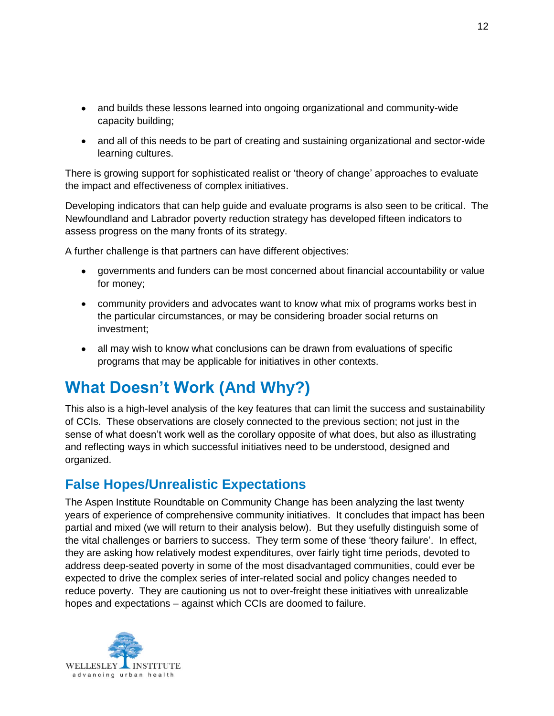- and builds these lessons learned into ongoing organizational and community-wide capacity building;
- and all of this needs to be part of creating and sustaining organizational and sector-wide learning cultures.

There is growing support for sophisticated realist or "theory of change" approaches to evaluate the impact and effectiveness of complex initiatives.

Developing indicators that can help guide and evaluate programs is also seen to be critical. The Newfoundland and Labrador poverty reduction strategy has developed fifteen indicators to assess progress on the many fronts of its strategy.

A further challenge is that partners can have different objectives:

- governments and funders can be most concerned about financial accountability or value for money;
- community providers and advocates want to know what mix of programs works best in the particular circumstances, or may be considering broader social returns on investment;
- all may wish to know what conclusions can be drawn from evaluations of specific programs that may be applicable for initiatives in other contexts.

## <span id="page-14-0"></span>**What Doesn't Work (And Why?)**

This also is a high-level analysis of the key features that can limit the success and sustainability of CCIs. These observations are closely connected to the previous section; not just in the sense of what doesn"t work well as the corollary opposite of what does, but also as illustrating and reflecting ways in which successful initiatives need to be understood, designed and organized.

#### <span id="page-14-1"></span>**False Hopes/Unrealistic Expectations**

The Aspen Institute Roundtable on Community Change has been analyzing the last twenty years of experience of comprehensive community initiatives. It concludes that impact has been partial and mixed (we will return to their analysis below). But they usefully distinguish some of the vital challenges or barriers to success. They term some of these "theory failure". In effect, they are asking how relatively modest expenditures, over fairly tight time periods, devoted to address deep-seated poverty in some of the most disadvantaged communities, could ever be expected to drive the complex series of inter-related social and policy changes needed to reduce poverty. They are cautioning us not to over-freight these initiatives with unrealizable hopes and expectations – against which CCIs are doomed to failure.

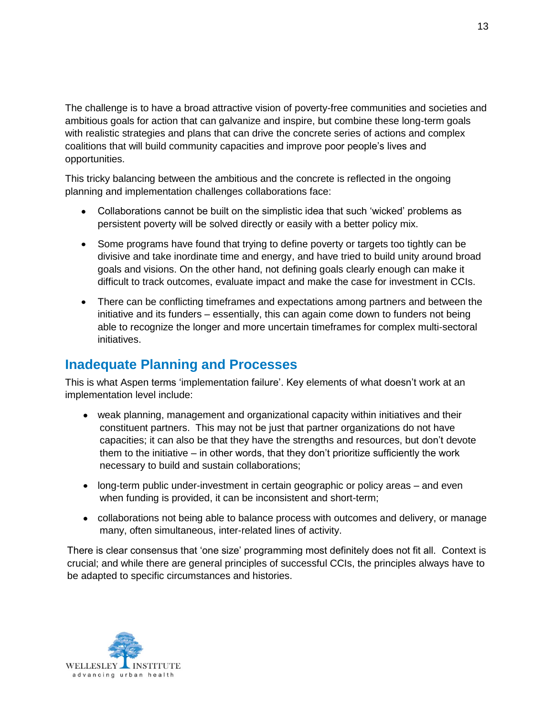The challenge is to have a broad attractive vision of poverty-free communities and societies and ambitious goals for action that can galvanize and inspire, but combine these long-term goals with realistic strategies and plans that can drive the concrete series of actions and complex coalitions that will build community capacities and improve poor people"s lives and opportunities.

This tricky balancing between the ambitious and the concrete is reflected in the ongoing planning and implementation challenges collaborations face:

- Collaborations cannot be built on the simplistic idea that such "wicked" problems as persistent poverty will be solved directly or easily with a better policy mix.
- Some programs have found that trying to define poverty or targets too tightly can be divisive and take inordinate time and energy, and have tried to build unity around broad goals and visions. On the other hand, not defining goals clearly enough can make it difficult to track outcomes, evaluate impact and make the case for investment in CCIs.
- There can be conflicting timeframes and expectations among partners and between the initiative and its funders – essentially, this can again come down to funders not being able to recognize the longer and more uncertain timeframes for complex multi-sectoral initiatives.

#### <span id="page-15-0"></span>**Inadequate Planning and Processes**

This is what Aspen terms 'implementation failure'. Key elements of what doesn't work at an implementation level include:

- weak planning, management and organizational capacity within initiatives and their constituent partners. This may not be just that partner organizations do not have capacities; it can also be that they have the strengths and resources, but don"t devote them to the initiative – in other words, that they don"t prioritize sufficiently the work necessary to build and sustain collaborations;
- long-term public under-investment in certain geographic or policy areas and even when funding is provided, it can be inconsistent and short-term;
- collaborations not being able to balance process with outcomes and delivery, or manage many, often simultaneous, inter-related lines of activity.

There is clear consensus that "one size" programming most definitely does not fit all. Context is crucial; and while there are general principles of successful CCIs, the principles always have to be adapted to specific circumstances and histories.

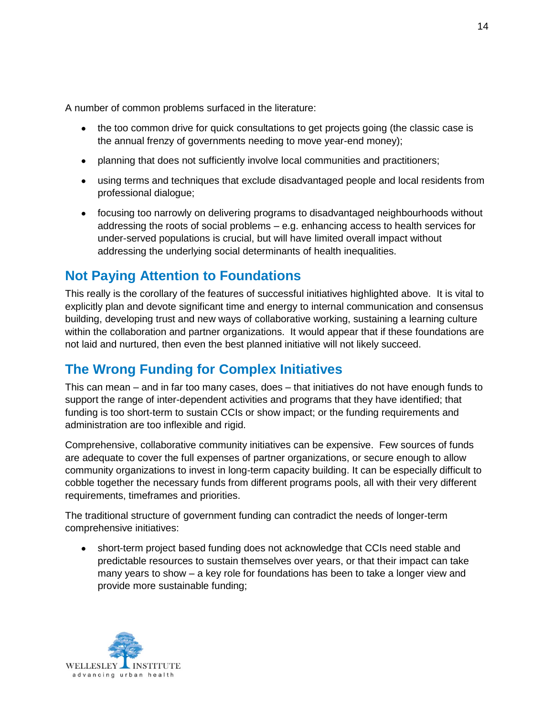A number of common problems surfaced in the literature:

- the too common drive for quick consultations to get projects going (the classic case is the annual frenzy of governments needing to move year-end money);
- planning that does not sufficiently involve local communities and practitioners;
- using terms and techniques that exclude disadvantaged people and local residents from professional dialogue;
- focusing too narrowly on delivering programs to disadvantaged neighbourhoods without addressing the roots of social problems – e.g. enhancing access to health services for under-served populations is crucial, but will have limited overall impact without addressing the underlying social determinants of health inequalities.

#### <span id="page-16-0"></span>**Not Paying Attention to Foundations**

This really is the corollary of the features of successful initiatives highlighted above. It is vital to explicitly plan and devote significant time and energy to internal communication and consensus building, developing trust and new ways of collaborative working, sustaining a learning culture within the collaboration and partner organizations. It would appear that if these foundations are not laid and nurtured, then even the best planned initiative will not likely succeed.

#### <span id="page-16-1"></span>**The Wrong Funding for Complex Initiatives**

This can mean – and in far too many cases, does – that initiatives do not have enough funds to support the range of inter-dependent activities and programs that they have identified; that funding is too short-term to sustain CCIs or show impact; or the funding requirements and administration are too inflexible and rigid.

Comprehensive, collaborative community initiatives can be expensive. Few sources of funds are adequate to cover the full expenses of partner organizations, or secure enough to allow community organizations to invest in long-term capacity building. It can be especially difficult to cobble together the necessary funds from different programs pools, all with their very different requirements, timeframes and priorities.

The traditional structure of government funding can contradict the needs of longer-term comprehensive initiatives:

short-term project based funding does not acknowledge that CCIs need stable and predictable resources to sustain themselves over years, or that their impact can take many years to show – a key role for foundations has been to take a longer view and provide more sustainable funding;

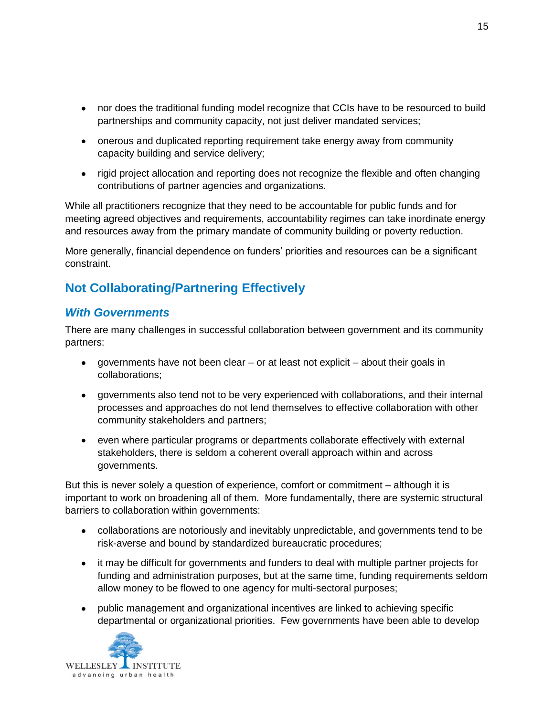- nor does the traditional funding model recognize that CCIs have to be resourced to build partnerships and community capacity, not just deliver mandated services;
- onerous and duplicated reporting requirement take energy away from community capacity building and service delivery;
- rigid project allocation and reporting does not recognize the flexible and often changing contributions of partner agencies and organizations.

While all practitioners recognize that they need to be accountable for public funds and for meeting agreed objectives and requirements, accountability regimes can take inordinate energy and resources away from the primary mandate of community building or poverty reduction.

More generally, financial dependence on funders" priorities and resources can be a significant constraint.

#### **Not Collaborating/Partnering Effectively**

#### *With Governments*

There are many challenges in successful collaboration between government and its community partners:

- governments have not been clear or at least not explicit about their goals in collaborations;
- governments also tend not to be very experienced with collaborations, and their internal processes and approaches do not lend themselves to effective collaboration with other community stakeholders and partners;
- even where particular programs or departments collaborate effectively with external stakeholders, there is seldom a coherent overall approach within and across governments.

But this is never solely a question of experience, comfort or commitment – although it is important to work on broadening all of them. More fundamentally, there are systemic structural barriers to collaboration within governments:

- collaborations are notoriously and inevitably unpredictable, and governments tend to be risk-averse and bound by standardized bureaucratic procedures;
- it may be difficult for governments and funders to deal with multiple partner projects for funding and administration purposes, but at the same time, funding requirements seldom allow money to be flowed to one agency for multi-sectoral purposes;
- public management and organizational incentives are linked to achieving specific departmental or organizational priorities. Few governments have been able to develop

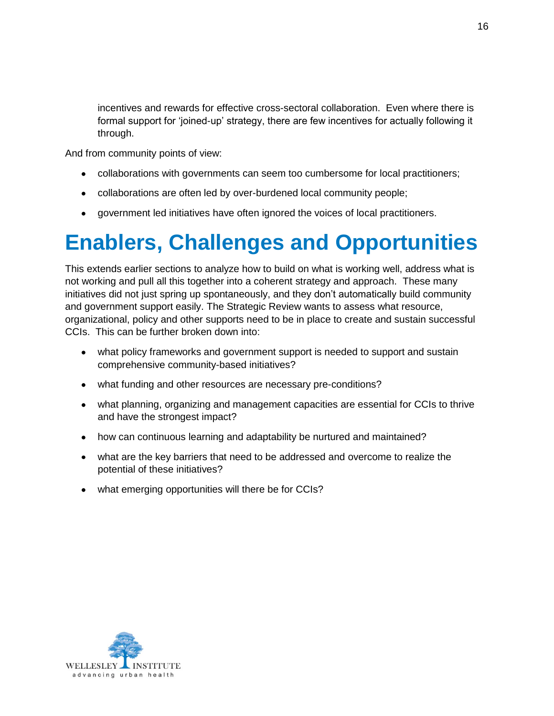incentives and rewards for effective cross-sectoral collaboration. Even where there is formal support for "joined-up" strategy, there are few incentives for actually following it through.

And from community points of view:

- collaborations with governments can seem too cumbersome for local practitioners;
- collaborations are often led by over-burdened local community people;
- government led initiatives have often ignored the voices of local practitioners.

## <span id="page-18-0"></span>**Enablers, Challenges and Opportunities**

This extends earlier sections to analyze how to build on what is working well, address what is not working and pull all this together into a coherent strategy and approach. These many initiatives did not just spring up spontaneously, and they don't automatically build community and government support easily. The Strategic Review wants to assess what resource, organizational, policy and other supports need to be in place to create and sustain successful CCIs. This can be further broken down into:

- what policy frameworks and government support is needed to support and sustain comprehensive community-based initiatives?
- what funding and other resources are necessary pre-conditions?
- what planning, organizing and management capacities are essential for CCIs to thrive and have the strongest impact?
- how can continuous learning and adaptability be nurtured and maintained?
- what are the key barriers that need to be addressed and overcome to realize the potential of these initiatives?
- <span id="page-18-1"></span>what emerging opportunities will there be for CCIs? $\bullet$

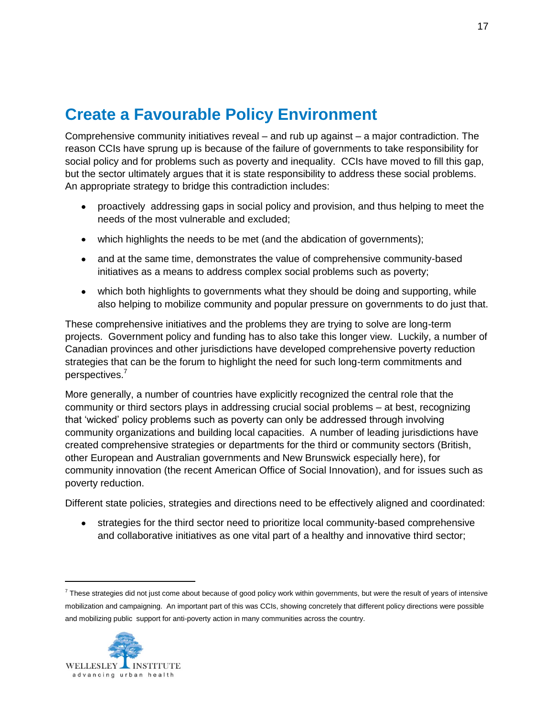### **Create a Favourable Policy Environment**

Comprehensive community initiatives reveal – and rub up against – a major contradiction. The reason CCIs have sprung up is because of the failure of governments to take responsibility for social policy and for problems such as poverty and inequality. CCIs have moved to fill this gap, but the sector ultimately argues that it is state responsibility to address these social problems. An appropriate strategy to bridge this contradiction includes:

- proactively addressing gaps in social policy and provision, and thus helping to meet the needs of the most vulnerable and excluded;
- which highlights the needs to be met (and the abdication of governments);
- and at the same time, demonstrates the value of comprehensive community-based initiatives as a means to address complex social problems such as poverty;
- which both highlights to governments what they should be doing and supporting, while also helping to mobilize community and popular pressure on governments to do just that.

These comprehensive initiatives and the problems they are trying to solve are long-term projects. Government policy and funding has to also take this longer view. Luckily, a number of Canadian provinces and other jurisdictions have developed comprehensive poverty reduction strategies that can be the forum to highlight the need for such long-term commitments and perspectives.<sup>7</sup>

More generally, a number of countries have explicitly recognized the central role that the community or third sectors plays in addressing crucial social problems – at best, recognizing that "wicked" policy problems such as poverty can only be addressed through involving community organizations and building local capacities. A number of leading jurisdictions have created comprehensive strategies or departments for the third or community sectors (British, other European and Australian governments and New Brunswick especially here), for community innovation (the recent American Office of Social Innovation), and for issues such as poverty reduction.

Different state policies, strategies and directions need to be effectively aligned and coordinated:

strategies for the third sector need to prioritize local community-based comprehensive and collaborative initiatives as one vital part of a healthy and innovative third sector;

 $^7$  These strategies did not just come about because of good policy work within governments, but were the result of years of intensive mobilization and campaigning. An important part of this was CCIs, showing concretely that different policy directions were possible and mobilizing public support for anti-poverty action in many communities across the country.



 $\overline{a}$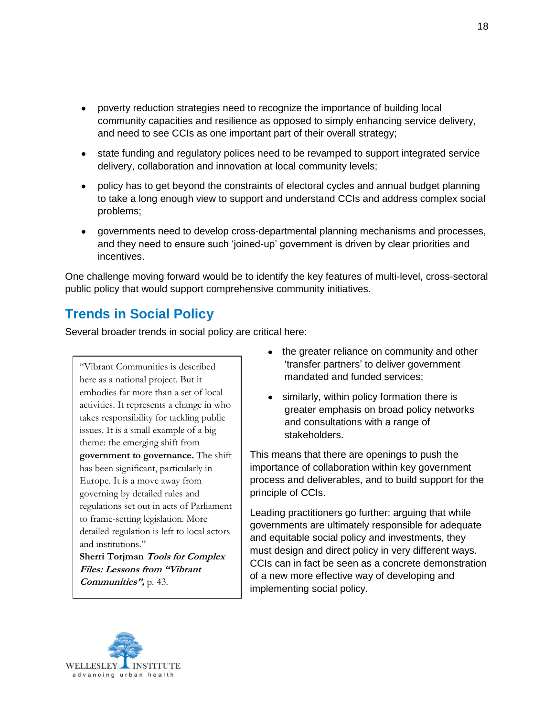- poverty reduction strategies need to recognize the importance of building local community capacities and resilience as opposed to simply enhancing service delivery, and need to see CCIs as one important part of their overall strategy;
- state funding and regulatory polices need to be revamped to support integrated service delivery, collaboration and innovation at local community levels;
- policy has to get beyond the constraints of electoral cycles and annual budget planning to take a long enough view to support and understand CCIs and address complex social problems;
- governments need to develop cross-departmental planning mechanisms and processes, and they need to ensure such "joined-up" government is driven by clear priorities and incentives.

One challenge moving forward would be to identify the key features of multi-level, cross-sectoral public policy that would support comprehensive community initiatives.

#### <span id="page-20-0"></span>**Trends in Social Policy**

Several broader trends in social policy are critical here:

"Vibrant Communities is described here as a national project. But it embodies far more than a set of local activities. It represents a change in who takes responsibility for tackling public issues. It is a small example of a big theme: the emerging shift from **government to governance.** The shift has been significant, particularly in Europe. It is a move away from governing by detailed rules and regulations set out in acts of Parliament to frame-setting legislation. More detailed regulation is left to local actors and institutions."

**Sherri Torjman Tools for Complex Files: Lessons from "Vibrant Communities",** p. 43.

- the greater reliance on community and other "transfer partners" to deliver government mandated and funded services;
- similarly, within policy formation there is greater emphasis on broad policy networks and consultations with a range of stakeholders.

This means that there are openings to push the importance of collaboration within key government process and deliverables, and to build support for the principle of CCIs.

Leading practitioners go further: arguing that while governments are ultimately responsible for adequate and equitable social policy and investments, they must design and direct policy in very different ways. CCIs can in fact be seen as a concrete demonstration of a new more effective way of developing and implementing social policy.

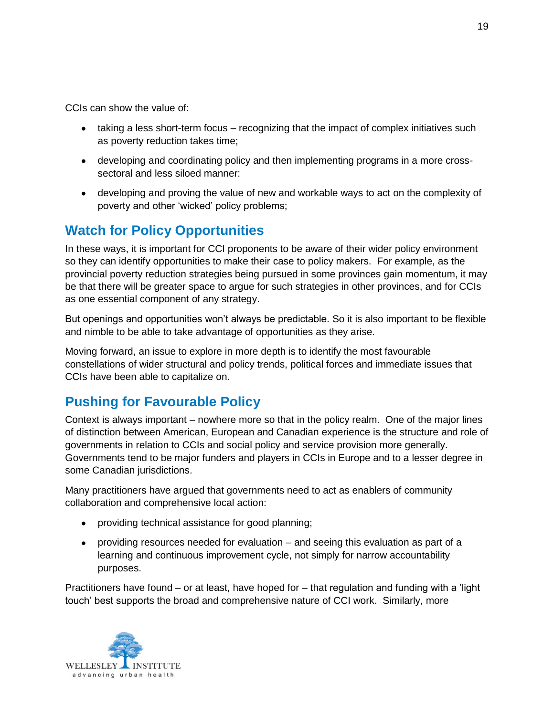CCIs can show the value of:

- taking a less short-term focus recognizing that the impact of complex initiatives such as poverty reduction takes time;
- developing and coordinating policy and then implementing programs in a more crosssectoral and less siloed manner:
- developing and proving the value of new and workable ways to act on the complexity of poverty and other "wicked" policy problems;

#### <span id="page-21-0"></span>**Watch for Policy Opportunities**

In these ways, it is important for CCI proponents to be aware of their wider policy environment so they can identify opportunities to make their case to policy makers. For example, as the provincial poverty reduction strategies being pursued in some provinces gain momentum, it may be that there will be greater space to argue for such strategies in other provinces, and for CCIs as one essential component of any strategy.

But openings and opportunities won"t always be predictable. So it is also important to be flexible and nimble to be able to take advantage of opportunities as they arise.

Moving forward, an issue to explore in more depth is to identify the most favourable constellations of wider structural and policy trends, political forces and immediate issues that CCIs have been able to capitalize on.

#### <span id="page-21-1"></span>**Pushing for Favourable Policy**

Context is always important – nowhere more so that in the policy realm. One of the major lines of distinction between American, European and Canadian experience is the structure and role of governments in relation to CCIs and social policy and service provision more generally. Governments tend to be major funders and players in CCIs in Europe and to a lesser degree in some Canadian jurisdictions.

Many practitioners have argued that governments need to act as enablers of community collaboration and comprehensive local action:

- providing technical assistance for good planning;
- providing resources needed for evaluation and seeing this evaluation as part of a learning and continuous improvement cycle, not simply for narrow accountability purposes.

Practitioners have found – or at least, have hoped for – that regulation and funding with a "light touch" best supports the broad and comprehensive nature of CCI work. Similarly, more

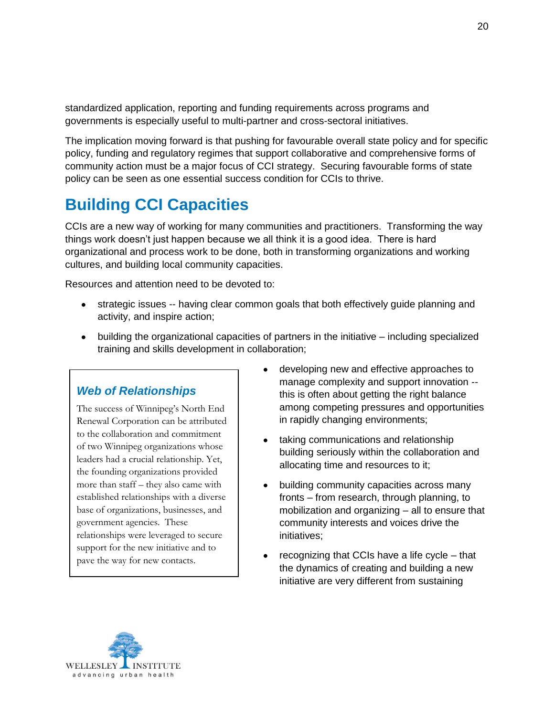standardized application, reporting and funding requirements across programs and governments is especially useful to multi-partner and cross-sectoral initiatives.

The implication moving forward is that pushing for favourable overall state policy and for specific policy, funding and regulatory regimes that support collaborative and comprehensive forms of community action must be a major focus of CCI strategy. Securing favourable forms of state policy can be seen as one essential success condition for CCIs to thrive.

## <span id="page-22-0"></span>**Building CCI Capacities**

CCIs are a new way of working for many communities and practitioners. Transforming the way things work doesn"t just happen because we all think it is a good idea. There is hard organizational and process work to be done, both in transforming organizations and working cultures, and building local community capacities.

Resources and attention need to be devoted to:

- strategic issues -- having clear common goals that both effectively guide planning and activity, and inspire action;
- building the organizational capacities of partners in the initiative including specialized training and skills development in collaboration;

#### *Web of Relationships*

The success of Winnipeg's North End Renewal Corporation can be attributed to the collaboration and commitment of two Winnipeg organizations whose leaders had a crucial relationship. Yet, the founding organizations provided more than staff – they also came with established relationships with a diverse base of organizations, businesses, and government agencies. These relationships were leveraged to secure support for the new initiative and to pave the way for new contacts.

- developing new and effective approaches to manage complexity and support innovation - this is often about getting the right balance among competing pressures and opportunities in rapidly changing environments;
- taking communications and relationship building seriously within the collaboration and allocating time and resources to it;
- building community capacities across many fronts – from research, through planning, to mobilization and organizing – all to ensure that community interests and voices drive the initiatives;
- recognizing that CCIs have a life cycle that the dynamics of creating and building a new initiative are very different from sustaining

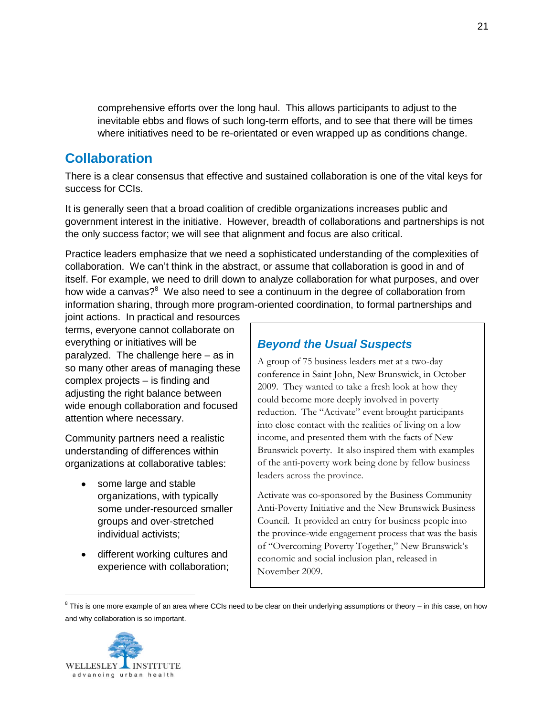comprehensive efforts over the long haul. This allows participants to adjust to the inevitable ebbs and flows of such long-term efforts, and to see that there will be times where initiatives need to be re-orientated or even wrapped up as conditions change.

#### <span id="page-23-0"></span>**Collaboration**

There is a clear consensus that effective and sustained collaboration is one of the vital keys for success for CCIs.

It is generally seen that a broad coalition of credible organizations increases public and government interest in the initiative. However, breadth of collaborations and partnerships is not the only success factor; we will see that alignment and focus are also critical.

Practice leaders emphasize that we need a sophisticated understanding of the complexities of collaboration. We can"t think in the abstract, or assume that collaboration is good in and of itself. For example, we need to drill down to analyze collaboration for what purposes, and over how wide a canvas?<sup>8</sup> We also need to see a continuum in the degree of collaboration from information sharing, through more program-oriented coordination, to formal partnerships and

joint actions. In practical and resources terms, everyone cannot collaborate on everything or initiatives will be paralyzed. The challenge here – as in so many other areas of managing these complex projects – is finding and adjusting the right balance between wide enough collaboration and focused attention where necessary.

Community partners need a realistic understanding of differences within organizations at collaborative tables:

- some large and stable organizations, with typically some under-resourced smaller groups and over-stretched individual activists;
- different working cultures and experience with collaboration;

#### *Beyond the Usual Suspects*

A group of 75 business leaders met at a two-day conference in Saint John, New Brunswick, in October 2009. They wanted to take a fresh look at how they could become more deeply involved in poverty reduction. The "Activate" event brought participants into close contact with the realities of living on a low income, and presented them with the facts of New Brunswick poverty. It also inspired them with examples of the anti-poverty work being done by fellow business leaders across the province.

Activate was co-sponsored by the Business Community Anti-Poverty Initiative and the New Brunswick Business Council. It provided an entry for business people into the province-wide engagement process that was the basis of "Overcoming Poverty Together," New Brunswick's economic and social inclusion plan, released in November 2009.

 $8$  This is one more example of an area where CCIs need to be clear on their underlying assumptions or theory – in this case, on how and why collaboration is so important.

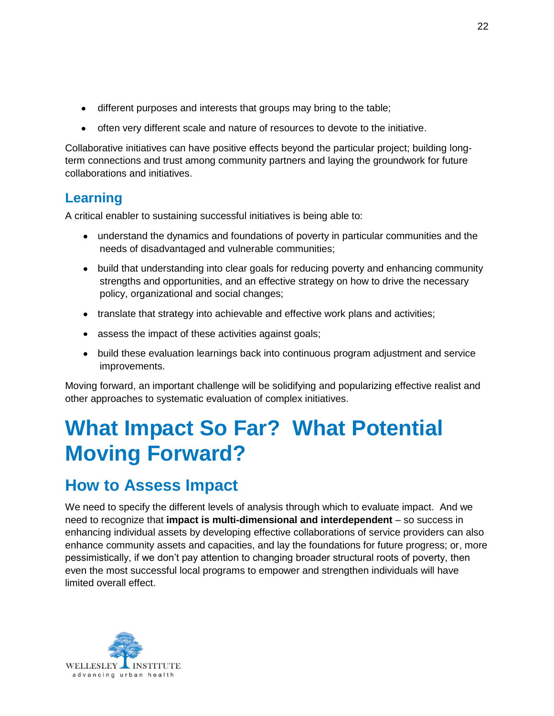- different purposes and interests that groups may bring to the table;
- often very different scale and nature of resources to devote to the initiative.

Collaborative initiatives can have positive effects beyond the particular project; building longterm connections and trust among community partners and laying the groundwork for future collaborations and initiatives.

#### <span id="page-24-0"></span>**Learning**

A critical enabler to sustaining successful initiatives is being able to:

- understand the dynamics and foundations of poverty in particular communities and the needs of disadvantaged and vulnerable communities;
- build that understanding into clear goals for reducing poverty and enhancing community strengths and opportunities, and an effective strategy on how to drive the necessary policy, organizational and social changes;
- translate that strategy into achievable and effective work plans and activities;
- assess the impact of these activities against goals;
- build these evaluation learnings back into continuous program adjustment and service improvements.

Moving forward, an important challenge will be solidifying and popularizing effective realist and other approaches to systematic evaluation of complex initiatives.

## <span id="page-24-1"></span>**What Impact So Far? What Potential Moving Forward?**

## <span id="page-24-2"></span>**How to Assess Impact**

We need to specify the different levels of analysis through which to evaluate impact. And we need to recognize that **impact is multi-dimensional and interdependent** – so success in enhancing individual assets by developing effective collaborations of service providers can also enhance community assets and capacities, and lay the foundations for future progress; or, more pessimistically, if we don"t pay attention to changing broader structural roots of poverty, then even the most successful local programs to empower and strengthen individuals will have limited overall effect.

<span id="page-24-3"></span>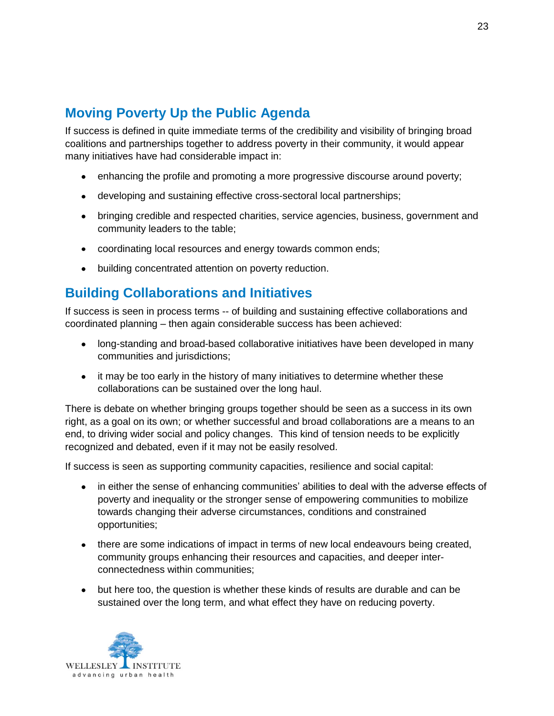#### **Moving Poverty Up the Public Agenda**

If success is defined in quite immediate terms of the credibility and visibility of bringing broad coalitions and partnerships together to address poverty in their community, it would appear many initiatives have had considerable impact in:

- enhancing the profile and promoting a more progressive discourse around poverty;  $\bullet$
- developing and sustaining effective cross-sectoral local partnerships;
- bringing credible and respected charities, service agencies, business, government and community leaders to the table;
- coordinating local resources and energy towards common ends;
- building concentrated attention on poverty reduction.

#### <span id="page-25-0"></span>**Building Collaborations and Initiatives**

If success is seen in process terms -- of building and sustaining effective collaborations and coordinated planning – then again considerable success has been achieved:

- long-standing and broad-based collaborative initiatives have been developed in many communities and jurisdictions;
- it may be too early in the history of many initiatives to determine whether these collaborations can be sustained over the long haul.

There is debate on whether bringing groups together should be seen as a success in its own right, as a goal on its own; or whether successful and broad collaborations are a means to an end, to driving wider social and policy changes. This kind of tension needs to be explicitly recognized and debated, even if it may not be easily resolved.

If success is seen as supporting community capacities, resilience and social capital:

- in either the sense of enhancing communities' abilities to deal with the adverse effects of poverty and inequality or the stronger sense of empowering communities to mobilize towards changing their adverse circumstances, conditions and constrained opportunities;
- there are some indications of impact in terms of new local endeavours being created, community groups enhancing their resources and capacities, and deeper interconnectedness within communities;
- but here too, the question is whether these kinds of results are durable and can be sustained over the long term, and what effect they have on reducing poverty.

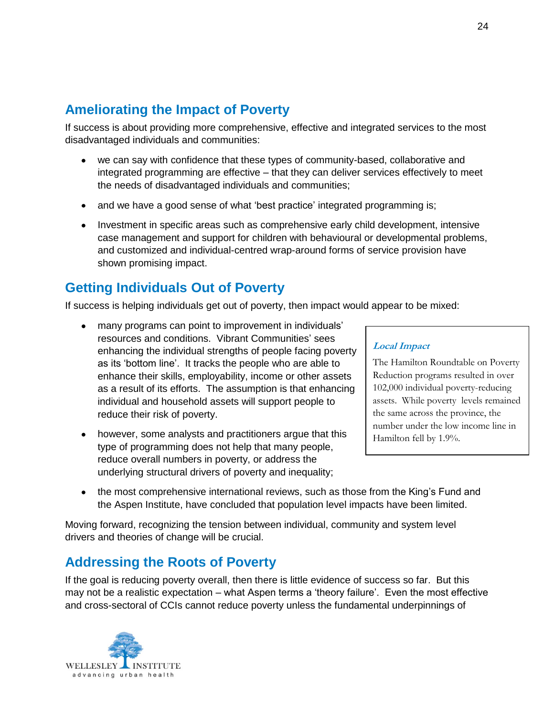#### <span id="page-26-0"></span>**Ameliorating the Impact of Poverty**

If success is about providing more comprehensive, effective and integrated services to the most disadvantaged individuals and communities:

- we can say with confidence that these types of community-based, collaborative and integrated programming are effective – that they can deliver services effectively to meet the needs of disadvantaged individuals and communities;
- and we have a good sense of what 'best practice' integrated programming is;
- Investment in specific areas such as comprehensive early child development, intensive case management and support for children with behavioural or developmental problems, and customized and individual-centred wrap-around forms of service provision have shown promising impact.

#### <span id="page-26-1"></span>**Getting Individuals Out of Poverty**

If success is helping individuals get out of poverty, then impact would appear to be mixed:

- many programs can point to improvement in individuals' resources and conditions. Vibrant Communities' sees enhancing the individual strengths of people facing poverty as its "bottom line". It tracks the people who are able to enhance their skills, employability, income or other assets as a result of its efforts. The assumption is that enhancing individual and household assets will support people to reduce their risk of poverty.
- however, some analysts and practitioners argue that this type of programming does not help that many people, reduce overall numbers in poverty, or address the underlying structural drivers of poverty and inequality;

#### **Local Impact**

The Hamilton Roundtable on Poverty Reduction programs resulted in over 102,000 individual poverty-reducing assets. While poverty levels remained the same across the province, the number under the low income line in Hamilton fell by 1.9%.

• the most comprehensive international reviews, such as those from the King's Fund and the Aspen Institute, have concluded that population level impacts have been limited.

Moving forward, recognizing the tension between individual, community and system level drivers and theories of change will be crucial.

#### <span id="page-26-2"></span>**Addressing the Roots of Poverty**

If the goal is reducing poverty overall, then there is little evidence of success so far. But this may not be a realistic expectation – what Aspen terms a "theory failure". Even the most effective and cross-sectoral of CCIs cannot reduce poverty unless the fundamental underpinnings of

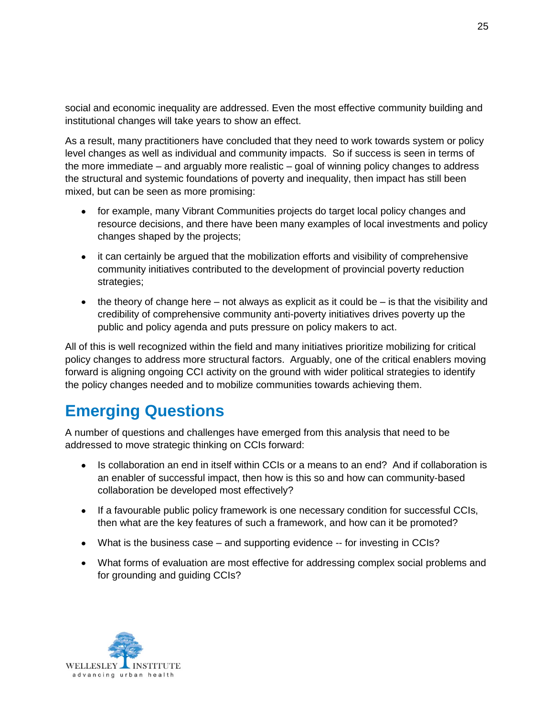social and economic inequality are addressed. Even the most effective community building and institutional changes will take years to show an effect.

As a result, many practitioners have concluded that they need to work towards system or policy level changes as well as individual and community impacts. So if success is seen in terms of the more immediate – and arguably more realistic – goal of winning policy changes to address the structural and systemic foundations of poverty and inequality, then impact has still been mixed, but can be seen as more promising:

- for example, many Vibrant Communities projects do target local policy changes and resource decisions, and there have been many examples of local investments and policy changes shaped by the projects;
- it can certainly be argued that the mobilization efforts and visibility of comprehensive community initiatives contributed to the development of provincial poverty reduction strategies;
- $\bullet$  the theory of change here not always as explicit as it could be is that the visibility and credibility of comprehensive community anti-poverty initiatives drives poverty up the public and policy agenda and puts pressure on policy makers to act.

All of this is well recognized within the field and many initiatives prioritize mobilizing for critical policy changes to address more structural factors. Arguably, one of the critical enablers moving forward is aligning ongoing CCI activity on the ground with wider political strategies to identify the policy changes needed and to mobilize communities towards achieving them.

## <span id="page-27-0"></span>**Emerging Questions**

A number of questions and challenges have emerged from this analysis that need to be addressed to move strategic thinking on CCIs forward:

- Is collaboration an end in itself within CCIs or a means to an end? And if collaboration is an enabler of successful impact, then how is this so and how can community-based collaboration be developed most effectively?
- If a favourable public policy framework is one necessary condition for successful CCIs, then what are the key features of such a framework, and how can it be promoted?
- What is the business case and supporting evidence -- for investing in CCIs?
- What forms of evaluation are most effective for addressing complex social problems and for grounding and guiding CCIs?

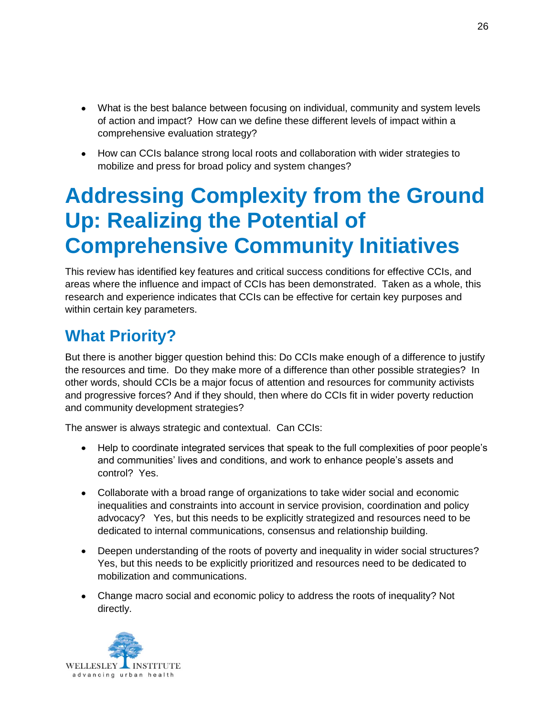- What is the best balance between focusing on individual, community and system levels of action and impact? How can we define these different levels of impact within a comprehensive evaluation strategy?
- How can CCIs balance strong local roots and collaboration with wider strategies to mobilize and press for broad policy and system changes?

## <span id="page-28-0"></span>**Addressing Complexity from the Ground Up: Realizing the Potential of Comprehensive Community Initiatives**

This review has identified key features and critical success conditions for effective CCIs, and areas where the influence and impact of CCIs has been demonstrated. Taken as a whole, this research and experience indicates that CCIs can be effective for certain key purposes and within certain key parameters.

## <span id="page-28-1"></span>**What Priority?**

But there is another bigger question behind this: Do CCIs make enough of a difference to justify the resources and time. Do they make more of a difference than other possible strategies? In other words, should CCIs be a major focus of attention and resources for community activists and progressive forces? And if they should, then where do CCIs fit in wider poverty reduction and community development strategies?

The answer is always strategic and contextual. Can CCIs:

- Help to coordinate integrated services that speak to the full complexities of poor people's and communities" lives and conditions, and work to enhance people"s assets and control? Yes.
- Collaborate with a broad range of organizations to take wider social and economic inequalities and constraints into account in service provision, coordination and policy advocacy? Yes, but this needs to be explicitly strategized and resources need to be dedicated to internal communications, consensus and relationship building.
- Deepen understanding of the roots of poverty and inequality in wider social structures? Yes, but this needs to be explicitly prioritized and resources need to be dedicated to mobilization and communications.
- Change macro social and economic policy to address the roots of inequality? Not directly.

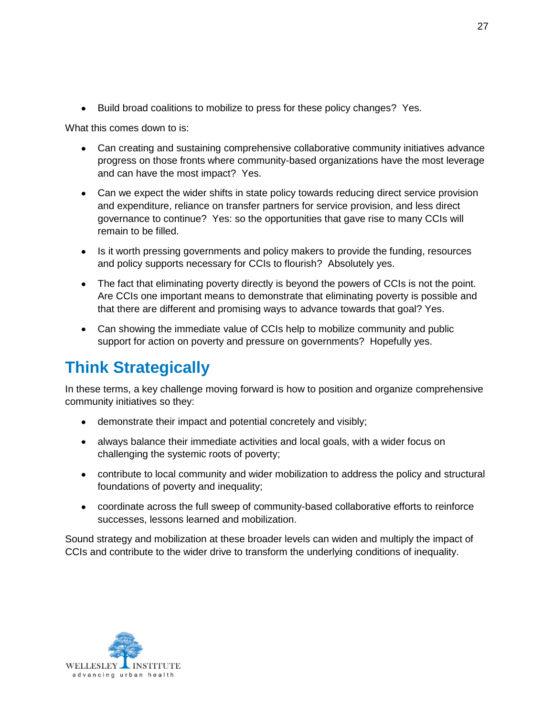Build broad coalitions to mobilize to press for these policy changes? Yes.

What this comes down to is:

- Can creating and sustaining comprehensive collaborative community initiatives advance progress on those fronts where community-based organizations have the most leverage and can have the most impact? Yes.
- Can we expect the wider shifts in state policy towards reducing direct service provision and expenditure, reliance on transfer partners for service provision, and less direct governance to continue? Yes: so the opportunities that gave rise to many CCIs will remain to be filled.
- Is it worth pressing governments and policy makers to provide the funding, resources and policy supports necessary for CCIs to flourish? Absolutely yes.
- The fact that eliminating poverty directly is beyond the powers of CCIs is not the point. Are CCIs one important means to demonstrate that eliminating poverty is possible and that there are different and promising ways to advance towards that goal? Yes.
- Can showing the immediate value of CCIs help to mobilize community and public support for action on poverty and pressure on governments? Hopefully yes.

## <span id="page-29-0"></span>**Think Strategically**

In these terms, a key challenge moving forward is how to position and organize comprehensive community initiatives so they:

- demonstrate their impact and potential concretely and visibly;
- always balance their immediate activities and local goals, with a wider focus on challenging the systemic roots of poverty;
- contribute to local community and wider mobilization to address the policy and structural foundations of poverty and inequality;
- coordinate across the full sweep of community-based collaborative efforts to reinforce successes, lessons learned and mobilization.

<span id="page-29-1"></span>Sound strategy and mobilization at these broader levels can widen and multiply the impact of CCIs and contribute to the wider drive to transform the underlying conditions of inequality.

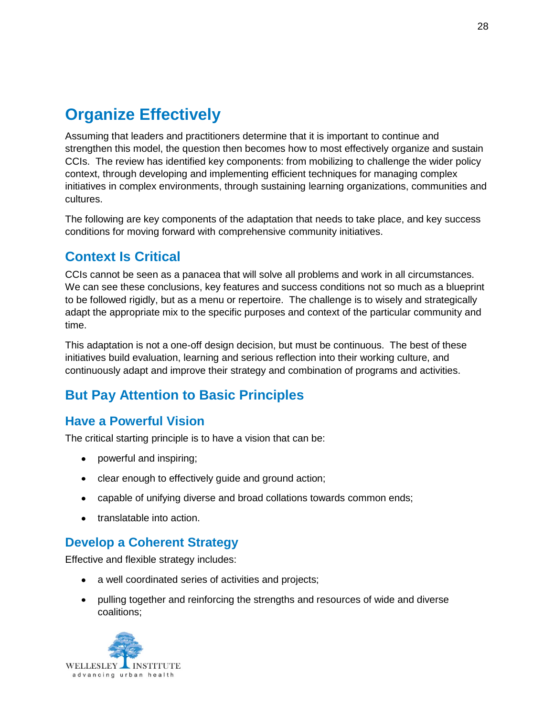## **Organize Effectively**

Assuming that leaders and practitioners determine that it is important to continue and strengthen this model, the question then becomes how to most effectively organize and sustain CCIs. The review has identified key components: from mobilizing to challenge the wider policy context, through developing and implementing efficient techniques for managing complex initiatives in complex environments, through sustaining learning organizations, communities and cultures.

The following are key components of the adaptation that needs to take place, and key success conditions for moving forward with comprehensive community initiatives.

#### <span id="page-30-0"></span>**Context Is Critical**

CCIs cannot be seen as a panacea that will solve all problems and work in all circumstances. We can see these conclusions, key features and success conditions not so much as a blueprint to be followed rigidly, but as a menu or repertoire. The challenge is to wisely and strategically adapt the appropriate mix to the specific purposes and context of the particular community and time.

This adaptation is not a one-off design decision, but must be continuous. The best of these initiatives build evaluation, learning and serious reflection into their working culture, and continuously adapt and improve their strategy and combination of programs and activities.

#### <span id="page-30-1"></span>**But Pay Attention to Basic Principles**

#### **Have a Powerful Vision**

The critical starting principle is to have a vision that can be:

- powerful and inspiring;
- clear enough to effectively guide and ground action;
- capable of unifying diverse and broad collations towards common ends;
- translatable into action.

#### **Develop a Coherent Strategy**

Effective and flexible strategy includes:

- a well coordinated series of activities and projects;
- pulling together and reinforcing the strengths and resources of wide and diverse coalitions;

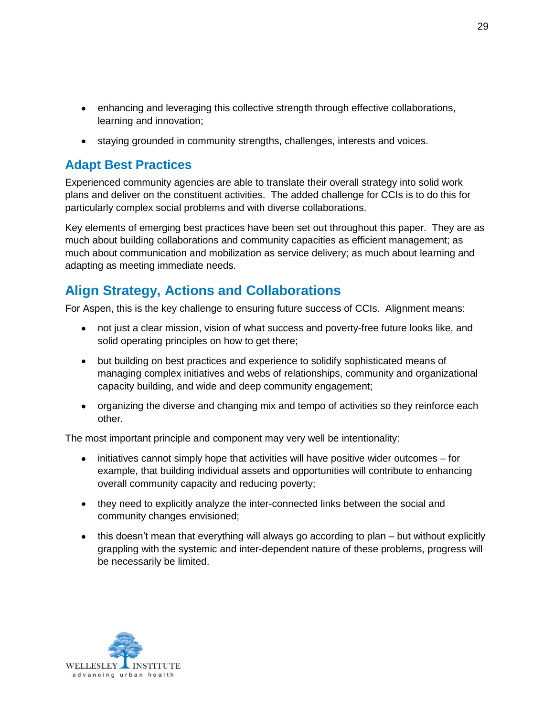- enhancing and leveraging this collective strength through effective collaborations, learning and innovation;
- staying grounded in community strengths, challenges, interests and voices.

#### **Adapt Best Practices**

Experienced community agencies are able to translate their overall strategy into solid work plans and deliver on the constituent activities. The added challenge for CCIs is to do this for particularly complex social problems and with diverse collaborations.

Key elements of emerging best practices have been set out throughout this paper. They are as much about building collaborations and community capacities as efficient management; as much about communication and mobilization as service delivery; as much about learning and adapting as meeting immediate needs.

#### <span id="page-31-0"></span>**Align Strategy, Actions and Collaborations**

For Aspen, this is the key challenge to ensuring future success of CCIs. Alignment means:

- not just a clear mission, vision of what success and poverty-free future looks like, and solid operating principles on how to get there;
- but building on best practices and experience to solidify sophisticated means of managing complex initiatives and webs of relationships, community and organizational capacity building, and wide and deep community engagement;
- organizing the diverse and changing mix and tempo of activities so they reinforce each other.

The most important principle and component may very well be intentionality:

- $\bullet$  initiatives cannot simply hope that activities will have positive wider outcomes  $-$  for example, that building individual assets and opportunities will contribute to enhancing overall community capacity and reducing poverty;
- they need to explicitly analyze the inter-connected links between the social and community changes envisioned;
- <span id="page-31-1"></span>this doesn"t mean that everything will always go according to plan – but without explicitly grappling with the systemic and inter-dependent nature of these problems, progress will be necessarily be limited.